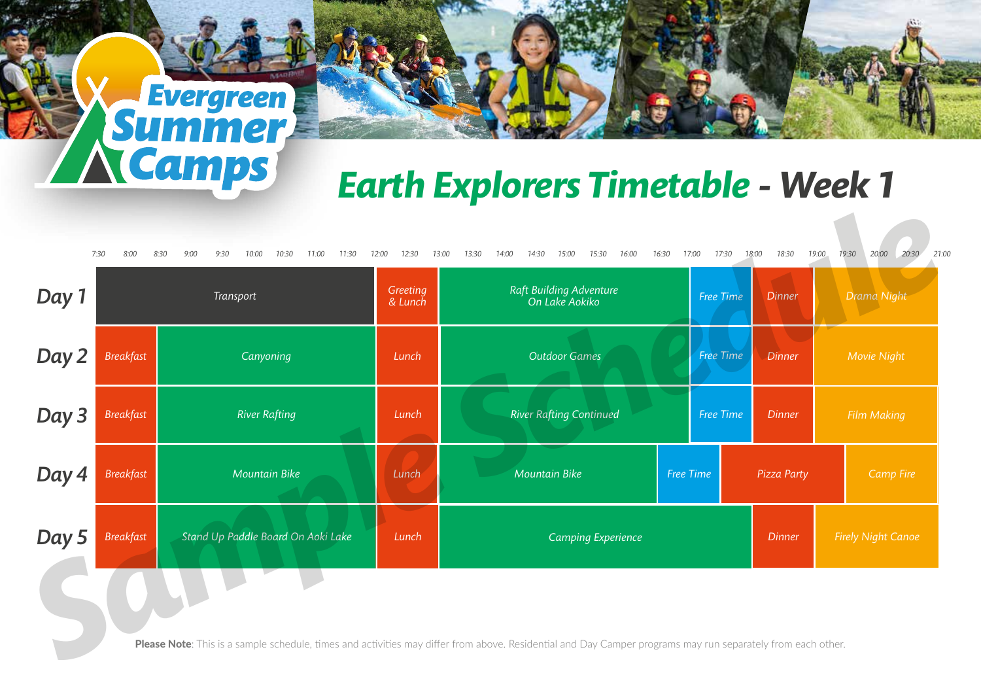## *Earth Explorers Timetable - Week 1*

| Day 1 |                  | Transport                          |       | Raft Building Adventure<br>On Lake Aokiko | Free Time |  | <b>Dinner</b> |                           | Drama Night      |  |
|-------|------------------|------------------------------------|-------|-------------------------------------------|-----------|--|---------------|---------------------------|------------------|--|
| Day 2 | <b>Breakfast</b> | Canyoning                          | Lunch | <b>Outdoor Games</b>                      | Free Time |  | <b>Dinner</b> | Movie Night               |                  |  |
| Day 3 | <b>Breakfast</b> | <b>River Rafting</b>               | Lunch | <b>River Rafting Continued</b>            | Free Time |  | <b>Dinner</b> | <b>Film Making</b>        |                  |  |
| Day 4 | <b>Breakfast</b> | <b>Mountain Bike</b>               | Lunch | <b>Mountain Bike</b>                      | Free Time |  | Pizza Party   |                           | <b>Camp Fire</b> |  |
| Day 5 | <b>Breakfast</b> | Stand Up Paddle Board On Aoki Lake | Lunch | <b>Camping Experience</b>                 |           |  | <b>Dinner</b> | <b>Firely Night Canoe</b> |                  |  |
|       |                  |                                    |       |                                           |           |  |               |                           |                  |  |

**Summer**